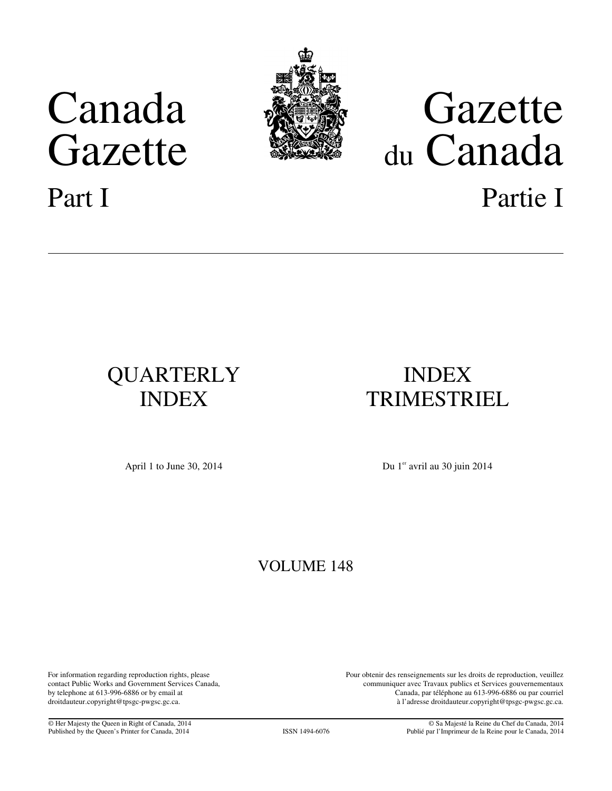# Canada Gazette



# Gazette du Canada Part I Partie I

# QUARTERLY INDEX

# INDEX TRIMESTRIEL

April 1 to June 30, 2014 Du 1<sup>er</sup> avril au 30 juin 2014

## VOLUME 148

For information regarding reproduction rights, please contact Public Works and Government Services Canada, by telephone at 613-996-6886 or by email at droitdauteur.copyright@tpsgc-pwgsc.gc.ca.

Pour obtenir des renseignements sur les droits de reproduction, veuillez communiquer avec Travaux publics et Services gouvernementaux Canada, par téléphone au 613-996-6886 ou par courriel à l'adresse droitdauteur.copyright@tpsgc-pwgsc.gc.ca.

© Her Majesty the Queen in Right of Canada, 2014 Published by the Queen's Printer for Canada, 2014 **ISSN 1494-6076** 

© Sa Majesté la Reine du Chef du Canada, 2014 Publié par l'Imprimeur de la Reine pour le Canada, 2014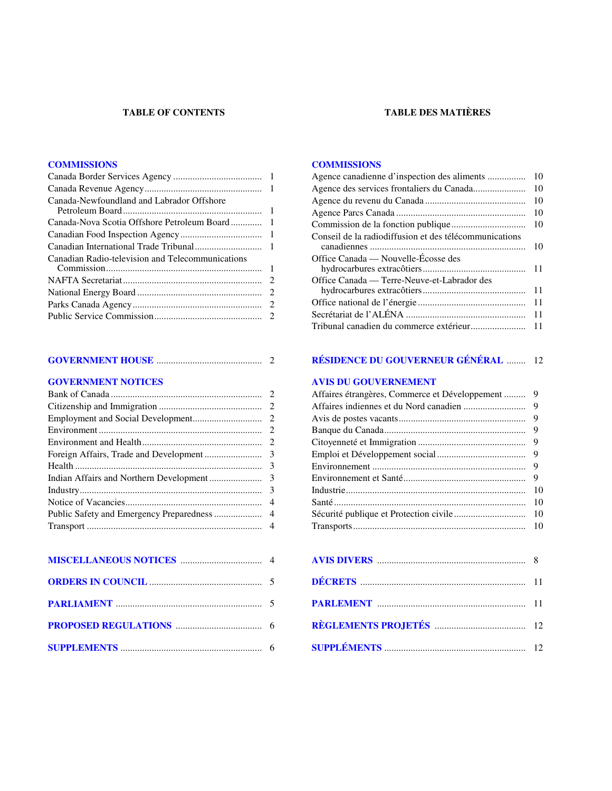#### **TABLE OF CONTENTS TABLE DES MATIÈRES**

#### **[COMMISSIONS](#page-2-0) [COMMISSIONS](#page-11-0)**

| Canada-Newfoundland and Labrador Offshore        |  |
|--------------------------------------------------|--|
|                                                  |  |
|                                                  |  |
|                                                  |  |
| Canadian Radio-television and Telecommunications |  |
|                                                  |  |
|                                                  |  |
|                                                  |  |
|                                                  |  |

| 10 |
|----|
| 10 |
| 10 |
| 10 |
| 10 |
| 10 |
|    |
|    |
| 11 |
| 11 |
| 11 |
|    |
|    |

#### **[GOVERNMENT HOUSE](#page-3-0)** ............................................ 2 **[RÉSIDENCE DU GOUVERNEUR GÉNÉRAL](#page-13-0)** ........ 12

#### **[GOVERNMENT NOTICES](#page-3-0) [AVIS DU GOUVERNEMENT](#page-10-0)**

| Affaires étrangères, Commerce et Développement | 9   |
|------------------------------------------------|-----|
|                                                |     |
|                                                |     |
|                                                |     |
|                                                |     |
|                                                |     |
|                                                |     |
|                                                |     |
|                                                | 10  |
|                                                | 10  |
|                                                | -10 |
|                                                |     |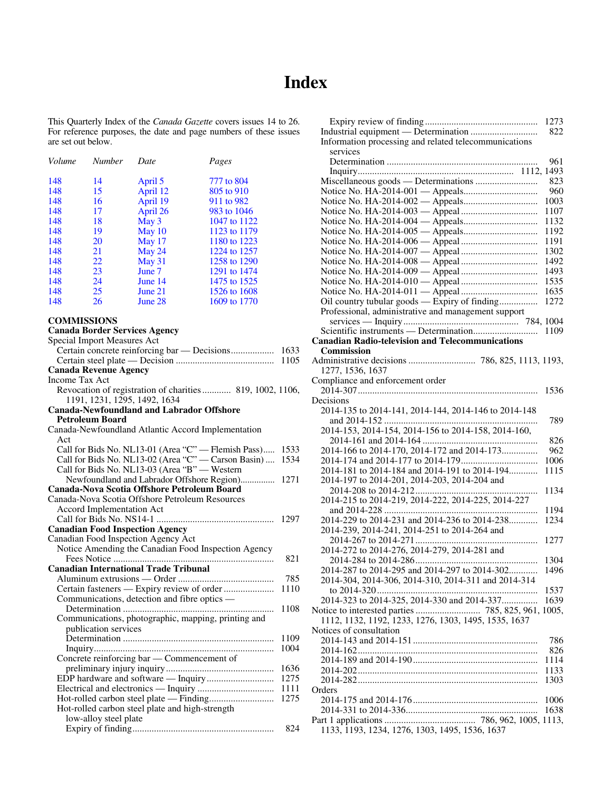## **Index**

<span id="page-2-0"></span>This Quarterly Index of the *Canada Gazette* covers issues 14 to 26. For reference purposes, the date and page numbers of these issues are set out below.

| <b>Number</b> | Date     | Pages        |
|---------------|----------|--------------|
| 14            | April 5  | 777 to 804   |
| 15            | April 12 | 805 to 910   |
| 16            | April 19 | 911 to 982   |
| 17            | April 26 | 983 to 1046  |
| 18            | May 3    | 1047 to 1122 |
| 19            | May 10   | 1123 to 1179 |
| 20            | May 17   | 1180 to 1223 |
| 21            | May 24   | 1224 to 1257 |
| 22            |          | 1258 to 1290 |
| 23            | June 7   | 1291 to 1474 |
| 24            | June 14  | 1475 to 1525 |
| 25            | June 21  | 1526 to 1608 |
| 26            | June 28  | 1609 to 1770 |
|               |          | May 31       |

## **COMMISSIONS**

### **Canada Border Services Agency**

| Special Import Measures Act                                                               |      |
|-------------------------------------------------------------------------------------------|------|
| Certain concrete reinforcing bar — Decisions                                              | 1633 |
|                                                                                           | 1105 |
| <b>Canada Revenue Agency</b>                                                              |      |
| Income Tax Act                                                                            |      |
| Revocation of registration of charities  819, 1002, 1106,<br>1191, 1231, 1295, 1492, 1634 |      |
| <b>Canada-Newfoundland and Labrador Offshore</b>                                          |      |
| <b>Petroleum Board</b>                                                                    |      |
| Canada-Newfoundland Atlantic Accord Implementation                                        |      |
| Act                                                                                       |      |
| Call for Bids No. NL13-01 (Area "C" - Flemish Pass)                                       | 1533 |
| Call for Bids No. NL13-02 (Area "C" - Carson Basin)                                       | 1534 |
| Call for Bids No. NL13-03 (Area "B" - Western                                             |      |
| Newfoundland and Labrador Offshore Region)                                                | 1271 |
| Canada-Nova Scotia Offshore Petroleum Board                                               |      |
| Canada-Nova Scotia Offshore Petroleum Resources                                           |      |
| Accord Implementation Act                                                                 |      |
|                                                                                           | 1297 |
| <b>Canadian Food Inspection Agency</b>                                                    |      |
| Canadian Food Inspection Agency Act                                                       |      |
| Notice Amending the Canadian Food Inspection Agency                                       |      |
|                                                                                           | 821  |
| <b>Canadian International Trade Tribunal</b>                                              |      |
|                                                                                           | 785  |
| Certain fasteners — Expiry review of order                                                | 1110 |
| Communications, detection and fibre optics —                                              |      |
| .                                                                                         | 1108 |
| Communications, photographic, mapping, printing and                                       |      |
| publication services                                                                      |      |
|                                                                                           | 1109 |
|                                                                                           | 1004 |
| Concrete reinforcing bar — Commencement of                                                |      |
|                                                                                           | 1636 |
|                                                                                           | 1275 |
|                                                                                           | 1111 |
|                                                                                           | 1275 |
| Hot-rolled carbon steel plate and high-strength                                           |      |
| low-alloy steel plate                                                                     |      |
|                                                                                           | 824  |

|                                                         | 1273         |
|---------------------------------------------------------|--------------|
|                                                         | 822          |
| Information processing and related telecommunications   |              |
| services                                                |              |
|                                                         | 961          |
|                                                         | 823          |
|                                                         | 960          |
|                                                         | 1003         |
|                                                         | 1107         |
|                                                         | 1132         |
|                                                         | 1192         |
|                                                         | 1191         |
|                                                         | 1302         |
|                                                         | 1492         |
|                                                         | 1493         |
|                                                         | 1535         |
|                                                         | 1635         |
|                                                         | 1272         |
| Professional, administrative and management support     |              |
|                                                         |              |
| <b>Canadian Radio-television and Telecommunications</b> | 1109         |
| Commission                                              |              |
|                                                         |              |
| 1277, 1536, 1637                                        |              |
| Compliance and enforcement order                        |              |
|                                                         | 1536         |
| Decisions                                               |              |
| 2014-135 to 2014-141, 2014-144, 2014-146 to 2014-148    |              |
|                                                         | 789          |
|                                                         |              |
| 2014-153, 2014-154, 2014-156 to 2014-158, 2014-160,     |              |
|                                                         | 826          |
| 2014-166 to 2014-170, 2014-172 and 2014-173             | 962          |
|                                                         | 1006         |
| 2014-181 to 2014-184 and 2014-191 to 2014-194           | 1115         |
| 2014-197 to 2014-201, 2014-203, 2014-204 and            |              |
|                                                         | 1134         |
|                                                         |              |
|                                                         | 1194         |
| 2014-229 to 2014-231 and 2014-236 to 2014-238           | 1234         |
| 2014-239, 2014-241, 2014-251 to 2014-264 and            | 1277         |
| 2014-272 to 2014-276, 2014-279, 2014-281 and            |              |
|                                                         | 1304         |
| 2014-287 to 2014-295 and 2014-297 to 2014-302           | 1496         |
| 2014-304, 2014-306, 2014-310, 2014-311 and 2014-314     |              |
|                                                         | 1537         |
| 2014-323 to 2014-325, 2014-330 and 2014-337             | 1639         |
|                                                         |              |
| 1112, 1132, 1192, 1233, 1276, 1303, 1495, 1535, 1637    |              |
| Notices of consultation                                 |              |
|                                                         | 786          |
|                                                         | 826          |
|                                                         | 1114<br>1133 |
|                                                         | 1303         |
| Orders                                                  |              |
|                                                         | 1006         |
|                                                         | 1638         |
| 1133, 1193, 1234, 1276, 1303, 1495, 1536, 1637          |              |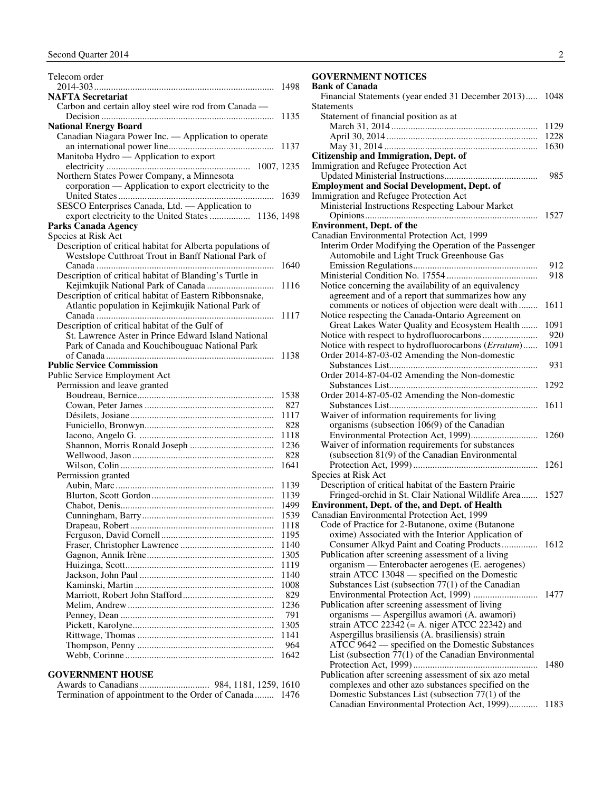<span id="page-3-0"></span>

| Telecom order                                              |             |
|------------------------------------------------------------|-------------|
|                                                            | 1498        |
| <b>NAFTA Secretariat</b>                                   |             |
| Carbon and certain alloy steel wire rod from Canada -      |             |
|                                                            | 1135        |
| <b>National Energy Board</b>                               |             |
| Canadian Niagara Power Inc. - Application to operate       |             |
|                                                            | 1137        |
| Manitoba Hydro - Application to export                     |             |
|                                                            |             |
| Northern States Power Company, a Minnesota                 |             |
| corporation — Application to export electricity to the     |             |
|                                                            | 1639        |
| SESCO Enterprises Canada, Ltd. - Application to            |             |
| export electricity to the United States<br>1136, 1498      |             |
| Parks Canada Agency<br>Species at Risk Act                 |             |
| Description of critical habitat for Alberta populations of |             |
| Westslope Cutthroat Trout in Banff National Park of        |             |
|                                                            | 1640        |
| Description of critical habitat of Blanding's Turtle in    |             |
|                                                            | 1116        |
| Description of critical habitat of Eastern Ribbonsnake,    |             |
| Atlantic population in Kejimkujik National Park of         |             |
|                                                            | 1117        |
| Description of critical habitat of the Gulf of             |             |
| St. Lawrence Aster in Prince Edward Island National        |             |
| Park of Canada and Kouchibouguac National Park             |             |
|                                                            | 1138        |
|                                                            |             |
|                                                            |             |
| <b>Public Service Commission</b>                           |             |
| Public Service Employment Act                              |             |
| Permission and leave granted                               |             |
|                                                            | 1538<br>827 |
|                                                            | 1117        |
|                                                            |             |
|                                                            | 828<br>1118 |
|                                                            | 1236        |
|                                                            | 828         |
|                                                            | 1641        |
| Permission granted                                         |             |
|                                                            | 1139        |
|                                                            | 1139        |
|                                                            | 1499        |
|                                                            | 1539        |
|                                                            | 1118        |
|                                                            | 1195        |
|                                                            | 1140        |
|                                                            | 1305        |
|                                                            | 1119        |
|                                                            | 1140        |
|                                                            | 1008        |
|                                                            | 829         |
|                                                            | 1236        |
|                                                            | 791         |
|                                                            | 1305        |
|                                                            | 1141        |
|                                                            | 964<br>1642 |

#### **GOVERNMENT HOUSE**

| Termination of appointment to the Order of Canada 1476 |  |
|--------------------------------------------------------|--|

#### **GOVERNMENT NOTICES**

#### **Bank of Canada**

| Financial Statements (year ended 31 December 2013) 1048 |      |  |  |
|---------------------------------------------------------|------|--|--|
| <b>Statements</b>                                       |      |  |  |
| Statement of financial position as at                   |      |  |  |
|                                                         | 1129 |  |  |
|                                                         | 1228 |  |  |
|                                                         | 1630 |  |  |
| Citizenship and Immigration, Dept. of                   |      |  |  |
| Immigration and Refugee Protection Act                  |      |  |  |
|                                                         | 985  |  |  |
| <b>Employment and Social Development, Dept. of</b>      |      |  |  |
| Immigration and Refugee Protection Act                  |      |  |  |
| Ministerial Instructions Respecting Labour Market       |      |  |  |
|                                                         | 1527 |  |  |
| <b>Environment</b> , Dept. of the                       |      |  |  |
| Canadian Environmental Protection Act, 1999             |      |  |  |
| Interim Order Modifying the Operation of the Passenger  |      |  |  |
| Automobile and Light Truck Greenhouse Gas               |      |  |  |
|                                                         | 912  |  |  |
|                                                         | 918  |  |  |
| Notice concerning the availability of an equivalency    |      |  |  |
| agreement and of a report that summarizes how any       |      |  |  |
| comments or notices of objection were dealt with        | 1611 |  |  |
| Notice respecting the Canada-Ontario Agreement on       |      |  |  |
| Great Lakes Water Quality and Ecosystem Health          | 1091 |  |  |
|                                                         | 920  |  |  |
| Notice with respect to hydrofluorocarbons (Erratum)     | 1091 |  |  |
| Order 2014-87-03-02 Amending the Non-domestic           |      |  |  |
|                                                         | 931  |  |  |
| Order 2014-87-04-02 Amending the Non-domestic           |      |  |  |
|                                                         | 1292 |  |  |
| Order 2014-87-05-02 Amending the Non-domestic           |      |  |  |
|                                                         | 1611 |  |  |
| Waiver of information requirements for living           |      |  |  |
| organisms (subsection 106(9) of the Canadian            |      |  |  |
|                                                         | 1260 |  |  |
| Waiver of information requirements for substances       |      |  |  |
| (subsection 81(9) of the Canadian Environmental         |      |  |  |
|                                                         | 1261 |  |  |
| Species at Risk Act                                     |      |  |  |
| Description of critical habitat of the Eastern Prairie  |      |  |  |
| Fringed-orchid in St. Clair National Wildlife Area      | 1527 |  |  |
| Environment, Dept. of the, and Dept. of Health          |      |  |  |
| Canadian Environmental Protection Act, 1999             |      |  |  |
| Code of Practice for 2-Butanone, oxime (Butanone        |      |  |  |
| oxime) Associated with the Interior Application of      |      |  |  |
| Consumer Alkyd Paint and Coating Products 1612          |      |  |  |
| Publication after screening assessment of a living      |      |  |  |
| organism — Enterobacter aerogenes (E. aerogenes)        |      |  |  |
| strain ATCC 13048 - specified on the Domestic           |      |  |  |
| Substances List (subsection 77(1) of the Canadian       |      |  |  |
|                                                         |      |  |  |
| Publication after screening assessment of living        |      |  |  |
| organisms — Aspergillus awamori (A. awamori)            |      |  |  |
| strain ATCC 22342 (= A. niger ATCC 22342) and           |      |  |  |
| Aspergillus brasiliensis (A. brasiliensis) strain       |      |  |  |
| ATCC 9642 — specified on the Domestic Substances        |      |  |  |
| List (subsection 77(1) of the Canadian Environmental    |      |  |  |
|                                                         | 1480 |  |  |
| Publication after screening assessment of six azo metal |      |  |  |
| complexes and other azo substances specified on the     |      |  |  |
| Domestic Substances List (subsection 77(1) of the       |      |  |  |
| Canadian Environmental Protection Act, 1999)            | 1183 |  |  |
|                                                         |      |  |  |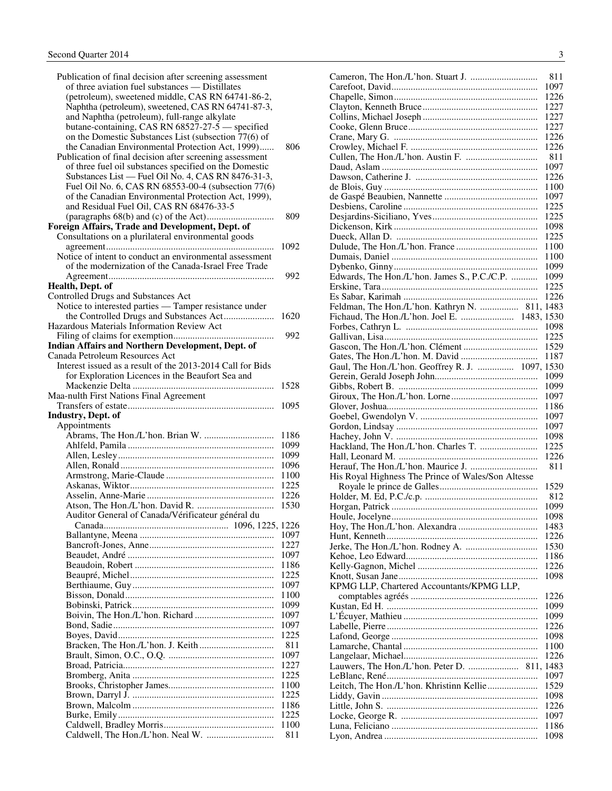| Publication of final decision after screening assessment                                                      |              |
|---------------------------------------------------------------------------------------------------------------|--------------|
| of three aviation fuel substances - Distillates                                                               |              |
| (petroleum), sweetened middle, CAS RN 64741-86-2,                                                             |              |
| Naphtha (petroleum), sweetened, CAS RN 64741-87-3,                                                            |              |
| and Naphtha (petroleum), full-range alkylate                                                                  |              |
| butane-containing, CAS RN 68527-27-5 - specified                                                              |              |
| on the Domestic Substances List (subsection 77(6) of                                                          |              |
| the Canadian Environmental Protection Act, 1999)                                                              | 806          |
| Publication of final decision after screening assessment                                                      |              |
| of three fuel oil substances specified on the Domestic<br>Substances List — Fuel Oil No. 4, CAS RN 8476-31-3, |              |
| Fuel Oil No. 6, CAS RN 68553-00-4 (subsection 77(6)                                                           |              |
| of the Canadian Environmental Protection Act, 1999),                                                          |              |
| and Residual Fuel Oil, CAS RN 68476-33-5                                                                      |              |
|                                                                                                               | 809          |
| Foreign Affairs, Trade and Development, Dept. of                                                              |              |
| Consultations on a plurilateral environmental goods                                                           |              |
|                                                                                                               | 1092         |
| Notice of intent to conduct an environmental assessment                                                       |              |
| of the modernization of the Canada-Israel Free Trade                                                          |              |
|                                                                                                               | 992          |
| Health, Dept. of                                                                                              |              |
| Controlled Drugs and Substances Act                                                                           |              |
| Notice to interested parties - Tamper resistance under                                                        |              |
| the Controlled Drugs and Substances Act                                                                       | 1620         |
| Hazardous Materials Information Review Act                                                                    |              |
|                                                                                                               | 992          |
| Indian Affairs and Northern Development, Dept. of                                                             |              |
| Canada Petroleum Resources Act                                                                                |              |
| Interest issued as a result of the 2013-2014 Call for Bids                                                    |              |
| for Exploration Licences in the Beaufort Sea and                                                              |              |
|                                                                                                               | 1528         |
| Maa-nulth First Nations Final Agreement                                                                       |              |
|                                                                                                               |              |
|                                                                                                               | 1095         |
| <b>Industry, Dept. of</b>                                                                                     |              |
| Appointments                                                                                                  |              |
|                                                                                                               | 1186         |
|                                                                                                               | 1099         |
|                                                                                                               | 1099<br>1096 |
|                                                                                                               | 1100         |
|                                                                                                               | 1225         |
|                                                                                                               | 1226         |
|                                                                                                               | 1530         |
| Auditor General of Canada/Vérificateur général du                                                             |              |
|                                                                                                               |              |
|                                                                                                               | 1097         |
|                                                                                                               | 1227         |
|                                                                                                               | 1097         |
|                                                                                                               | 1186         |
|                                                                                                               | 1225         |
|                                                                                                               | 1097         |
|                                                                                                               | 1100         |
|                                                                                                               | 1099         |
|                                                                                                               | 1097         |
|                                                                                                               | 1097         |
|                                                                                                               | 1225         |
|                                                                                                               | 811          |
|                                                                                                               | 1097         |
|                                                                                                               | 1227<br>1225 |
|                                                                                                               | 1100         |
|                                                                                                               | 1225         |
|                                                                                                               | 1186         |
|                                                                                                               | 1225         |
|                                                                                                               | 1100         |

|                                                    | 811          |
|----------------------------------------------------|--------------|
|                                                    | 1097         |
|                                                    | 1226<br>1227 |
|                                                    | 1227         |
|                                                    | 1227         |
|                                                    | 1226         |
|                                                    | 1226         |
|                                                    | 811          |
|                                                    | 1097         |
|                                                    | 1226         |
|                                                    | 1100         |
|                                                    | 1097<br>1225 |
|                                                    | 1225         |
|                                                    | 1098         |
|                                                    | 1225         |
|                                                    | 1100         |
|                                                    | 1100         |
|                                                    | 1099         |
| Edwards, The Hon./L'hon. James S., P.C./C.P.       | 1099         |
|                                                    | 1225         |
|                                                    | 1226         |
| Feldman, The Hon./L'hon. Kathryn N.  811, 1483     |              |
| Fichaud, The Hon./L'hon. Joel E.  1483, 1530       | 1098         |
|                                                    | 1225         |
|                                                    | 1529         |
|                                                    | 1187         |
| Gaul, The Hon./L'hon. Geoffrey R. J.  1097, 1530   |              |
|                                                    | 1099         |
|                                                    | 1099         |
|                                                    | 1097         |
|                                                    | 1186         |
|                                                    | 1097         |
|                                                    | 1097         |
|                                                    | 1098<br>1225 |
|                                                    | 1226         |
|                                                    | 811          |
| His Royal Highness The Prince of Wales/Son Altesse |              |
|                                                    | 1529         |
|                                                    | 812          |
|                                                    | 1099         |
|                                                    | 1098         |
|                                                    | 1483         |
|                                                    | 1226         |
|                                                    | 1530         |
|                                                    | 1186<br>1226 |
|                                                    | 1098         |
| KPMG LLP, Chartered Accountants/KPMG LLP,          |              |
|                                                    | 1226         |
|                                                    | 1099         |
|                                                    | 1099         |
|                                                    | 1226         |
|                                                    | 1098         |
|                                                    | 1100         |
|                                                    | 1226         |
|                                                    | 1097         |
| Leitch, The Hon./L'hon. Khristinn Kellie           | 1529         |
|                                                    | 1098         |
|                                                    |              |
|                                                    | 1226         |
|                                                    | 1097         |
|                                                    | 1186         |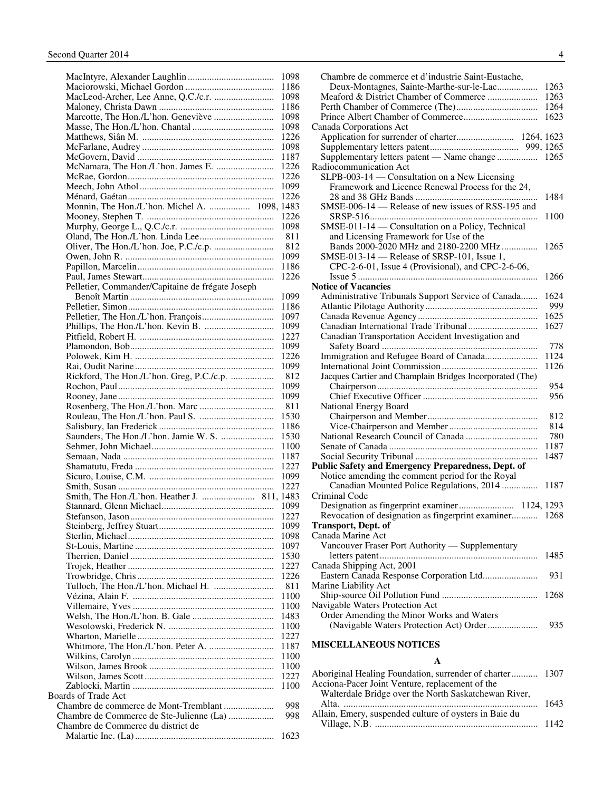<span id="page-5-0"></span>

|                                                  | 1098         |
|--------------------------------------------------|--------------|
|                                                  | 1186         |
|                                                  | 1098         |
|                                                  | 1186         |
| Marcotte, The Hon./L'hon. Geneviève              | 1098         |
|                                                  | 1098         |
|                                                  | 1226<br>1098 |
|                                                  | 1187         |
| McNamara, The Hon./L'hon. James E.               | 1226         |
|                                                  | 1226         |
|                                                  | 1099         |
|                                                  | 1226         |
| Monnin, The Hon./L'hon. Michel A.  1098, 1483    |              |
|                                                  | 1226         |
|                                                  | 1098         |
|                                                  | 811          |
|                                                  | 812          |
|                                                  | 1099         |
|                                                  | 1186         |
|                                                  | 1226         |
| Pelletier, Commander/Capitaine de frégate Joseph |              |
|                                                  | 1099         |
|                                                  | 1186         |
|                                                  | 1097         |
|                                                  | 1099         |
|                                                  | 1227         |
|                                                  | 1099         |
|                                                  | 1226         |
|                                                  | 1099         |
| Rickford, The Hon./L'hon. Greg, P.C./c.p.        | 812          |
|                                                  | 1099         |
|                                                  | 1099         |
|                                                  | 811          |
|                                                  | 1530         |
|                                                  | 1186<br>1530 |
|                                                  | 1100         |
|                                                  | 1187         |
|                                                  | 1227         |
|                                                  | 1099         |
|                                                  | 1227         |
|                                                  |              |
|                                                  | 1099         |
|                                                  | 1227         |
|                                                  | 1099         |
|                                                  | 1098         |
|                                                  | 1097         |
|                                                  | 1530         |
|                                                  | 1227         |
|                                                  | 1226         |
|                                                  | 811          |
|                                                  | 1100         |
|                                                  | 1100         |
|                                                  | 1483         |
|                                                  | 1100         |
|                                                  | 1227<br>1187 |
|                                                  | 1100         |
|                                                  | 1100         |
|                                                  | 1227         |
|                                                  | 1100         |
| Boards of Trade Act                              |              |
| Chambre de commerce de Mont-Tremblant            | 998          |
| Chambre de Commerce de Ste-Julienne (La)         | 998          |
| Chambre de Commerce du district de               |              |
|                                                  | 1623         |

| Chambre de commerce et d'industrie Saint-Eustache,        |             |
|-----------------------------------------------------------|-------------|
| Deux-Montagnes, Sainte-Marthe-sur-le-Lac                  | 1263        |
| Meaford & District Chamber of Commerce                    | 1263        |
|                                                           | 1264        |
|                                                           | 1623        |
| Canada Corporations Act                                   |             |
|                                                           |             |
|                                                           |             |
| Supplementary letters patent - Name change  1265          |             |
| Radiocommunication Act                                    |             |
| SLPB-003-14 — Consultation on a New Licensing             |             |
| Framework and Licence Renewal Process for the 24,         |             |
|                                                           | 1484        |
| SMSE-006-14 - Release of new issues of RSS-195 and        |             |
|                                                           | 1100        |
| SMSE-011-14 - Consultation on a Policy, Technical         |             |
| and Licensing Framework for Use of the                    |             |
| Bands 2000-2020 MHz and 2180-2200 MHz                     | 1265        |
| SMSE-013-14 - Release of SRSP-101, Issue 1,               |             |
| CPC-2-6-01, Issue 4 (Provisional), and CPC-2-6-06,        |             |
|                                                           | 1266        |
| <b>Notice of Vacancies</b>                                |             |
| Administrative Tribunals Support Service of Canada        | 1624<br>999 |
|                                                           | 1625        |
| Canadian International Trade Tribunal                     | 1627        |
| Canadian Transportation Accident Investigation and        |             |
|                                                           | 778         |
| Immigration and Refugee Board of Canada                   | 1124        |
|                                                           | 1126        |
| Jacques Cartier and Champlain Bridges Incorporated (The)  |             |
|                                                           | 954         |
|                                                           | 956         |
| National Energy Board                                     |             |
|                                                           | 812         |
|                                                           | 814         |
|                                                           | 780         |
|                                                           | 1187        |
|                                                           | 1487        |
| <b>Public Safety and Emergency Preparedness, Dept. of</b> |             |
| Notice amending the comment period for the Royal          |             |
| Canadian Mounted Police Regulations, 2014                 | 1187        |
| Criminal Code                                             |             |
|                                                           |             |
| Revocation of designation as fingerprint examiner 1268    |             |
| <b>Transport, Dept. of</b>                                |             |
| Canada Marine Act                                         |             |
| Vancouver Fraser Port Authority - Supplementary           |             |
|                                                           | 1485        |
| Canada Shipping Act, 2001                                 |             |
| Eastern Canada Response Corporation Ltd                   | 931         |
| Marine Liability Act                                      |             |
|                                                           | 1268        |
| Navigable Waters Protection Act                           |             |
| Order Amending the Minor Works and Waters                 |             |
|                                                           | 935         |
|                                                           |             |

#### **MISCELLANEOUS NOTICES**

#### **A**

| Aboriginal Healing Foundation, surrender of charter 1307 |
|----------------------------------------------------------|
|                                                          |
|                                                          |
|                                                          |
|                                                          |
|                                                          |
|                                                          |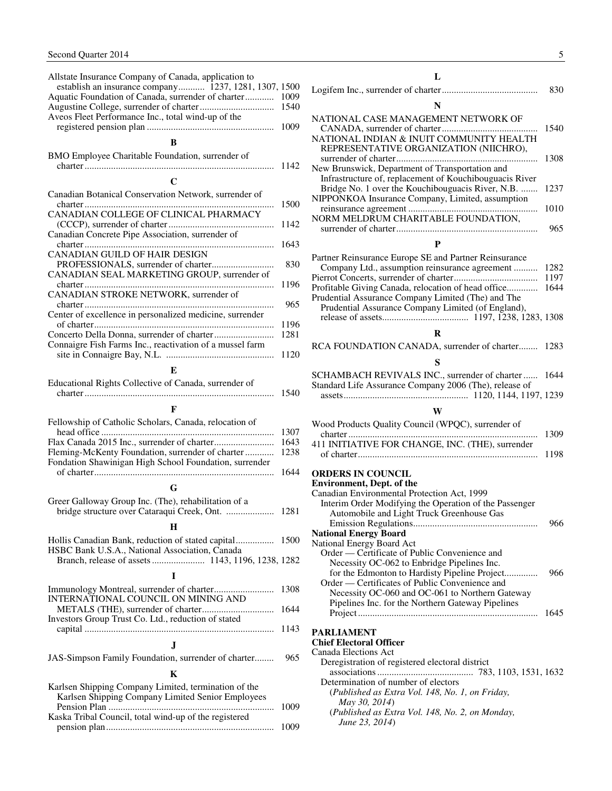<span id="page-6-0"></span>

| Allstate Insurance Company of Canada, application to<br>establish an insurance company 1237, 1281, 1307, 1500 |      |
|---------------------------------------------------------------------------------------------------------------|------|
| Aquatic Foundation of Canada, surrender of charter                                                            | 1009 |
|                                                                                                               | 1540 |
| Aveos Fleet Performance Inc., total wind-up of the                                                            |      |
|                                                                                                               | 1009 |
| в                                                                                                             |      |
| BMO Employee Charitable Foundation, surrender of                                                              |      |
|                                                                                                               | 1142 |
| $\mathbf C$                                                                                                   |      |
| Canadian Botanical Conservation Network, surrender of                                                         |      |
|                                                                                                               | 1500 |
| CANADIAN COLLEGE OF CLINICAL PHARMACY                                                                         |      |
|                                                                                                               | 1142 |
| Canadian Concrete Pipe Association, surrender of                                                              |      |
| CANADIAN GUILD OF HAIR DESIGN                                                                                 | 1643 |
| PROFESSIONALS, surrender of charter                                                                           | 830  |
| CANADIAN SEAL MARKETING GROUP, surrender of                                                                   |      |
|                                                                                                               | 1196 |
| CANADIAN STROKE NETWORK, surrender of                                                                         |      |
|                                                                                                               | 965  |
| Center of excellence in personalized medicine, surrender                                                      | 1196 |
|                                                                                                               | 1281 |
| Connaigre Fish Farms Inc., reactivation of a mussel farm                                                      |      |
|                                                                                                               | 1120 |
| E.                                                                                                            |      |
| Educational Rights Collective of Canada, surrender of                                                         |      |
|                                                                                                               | 1540 |
| F                                                                                                             |      |
| Fellowship of Catholic Scholars, Canada, relocation of                                                        |      |
|                                                                                                               | 1307 |
|                                                                                                               | 1643 |
| Fleming-McKenty Foundation, surrender of charter                                                              | 1238 |
| Fondation Shawinigan High School Foundation, surrender                                                        |      |
|                                                                                                               | 1644 |
| G                                                                                                             |      |
|                                                                                                               |      |
| Greer Galloway Group Inc. (The), rehabilitation of a                                                          |      |
| bridge structure over Cataraqui Creek, Ont.  1281                                                             |      |
| H                                                                                                             |      |
|                                                                                                               | 1500 |
| Hollis Canadian Bank, reduction of stated capital<br>HSBC Bank U.S.A., National Association, Canada           |      |
|                                                                                                               |      |
| I                                                                                                             |      |
|                                                                                                               | 1308 |
| INTERNATIONAL COUNCIL ON MINING AND                                                                           |      |
|                                                                                                               | 1644 |
| Investors Group Trust Co. Ltd., reduction of stated                                                           |      |
|                                                                                                               | 1143 |
| $\mathbf{J}$                                                                                                  |      |
| JAS-Simpson Family Foundation, surrender of charter                                                           | 965  |
| K                                                                                                             |      |
|                                                                                                               |      |
| Karlsen Shipping Company Limited, termination of the<br>Karlsen Shipping Company Limited Senior Employees     |      |
|                                                                                                               | 1009 |
| Kaska Tribal Council, total wind-up of the registered                                                         | 1009 |

## **L**

| $\overline{00}$       |                                                                                                            | 830  |
|-----------------------|------------------------------------------------------------------------------------------------------------|------|
| 09<br>40              | N                                                                                                          |      |
| 09                    | NATIONAL CASE MANAGEMENT NETWORK OF                                                                        | 1540 |
|                       | NATIONAL INDIAN & INUIT COMMUNITY HEALTH<br>REPRESENTATIVE ORGANIZATION (NIICHRO),                         |      |
| 42                    | New Brunswick, Department of Transportation and<br>Infrastructure of, replacement of Kouchibouguacis River | 1308 |
|                       | Bridge No. 1 over the Kouchibouguacis River, N.B.<br>NIPPONKOA Insurance Company, Limited, assumption      | 1237 |
| $\overline{00}$<br>42 | NORM MELDRUM CHARITABLE FOUNDATION,                                                                        | 1010 |
| 43                    | P                                                                                                          | 965  |
|                       | Partner Reinsurance Europe SE and Partner Reinsurance                                                      |      |
| 30 <sup>°</sup>       | Company Ltd., assumption reinsurance agreement                                                             | 1282 |
|                       |                                                                                                            | 1197 |
| 96                    | Profitable Giving Canada, relocation of head office                                                        | 1644 |
| 65                    | Prudential Assurance Company Limited (The) and The<br>Prudential Assurance Company Limited (of England),   |      |
|                       |                                                                                                            |      |
| 96<br>81              | R                                                                                                          |      |
|                       | RCA FOUNDATION CANADA, surrender of charter                                                                | 1283 |
| 20                    | S                                                                                                          |      |
|                       | SCHAMBACH REVIVALS INC., surrender of charter<br>Standard Life Assurance Company 2006 (The), release of    | 1644 |
| 40                    |                                                                                                            |      |
|                       |                                                                                                            |      |
|                       | W                                                                                                          |      |
|                       |                                                                                                            |      |
| 07                    | Wood Products Quality Council (WPQC), surrender of                                                         | 1309 |
| 43<br>38              | 411 INITIATIVE FOR CHANGE, INC. (THE), surrender                                                           | 1198 |
| 44                    | <b>ORDERS IN COUNCIL</b>                                                                                   |      |
|                       | <b>Environment, Dept. of the</b>                                                                           |      |
|                       | Canadian Environmental Protection Act, 1999                                                                |      |
| 81                    | Interim Order Modifying the Operation of the Passenger<br>Automobile and Light Truck Greenhouse Gas        |      |
|                       |                                                                                                            | 966  |
| $\overline{00}$       | <b>National Energy Board</b><br>National Energy Board Act                                                  |      |
|                       | Order — Certificate of Public Convenience and                                                              |      |
| 82                    | Necessity OC-062 to Enbridge Pipelines Inc.                                                                |      |
|                       | for the Edmonton to Hardisty Pipeline Project<br>Order — Certificates of Public Convenience and            | 966  |
|                       | Necessity OC-060 and OC-061 to Northern Gateway                                                            |      |
|                       | Pipelines Inc. for the Northern Gateway Pipelines                                                          | 1645 |
| 08<br>44<br>43        | <b>PARLIAMENT</b><br><b>Chief Electoral Officer</b>                                                        |      |
| 65                    | Canada Elections Act<br>Deregistration of registered electoral district                                    |      |
|                       |                                                                                                            |      |
|                       | Determination of number of electors<br>(Published as Extra Vol. 148, No. 1, on Friday,                     |      |
| 09                    | May 30, 2014)<br>(Published as Extra Vol. 148, No. 2, on Monday,                                           |      |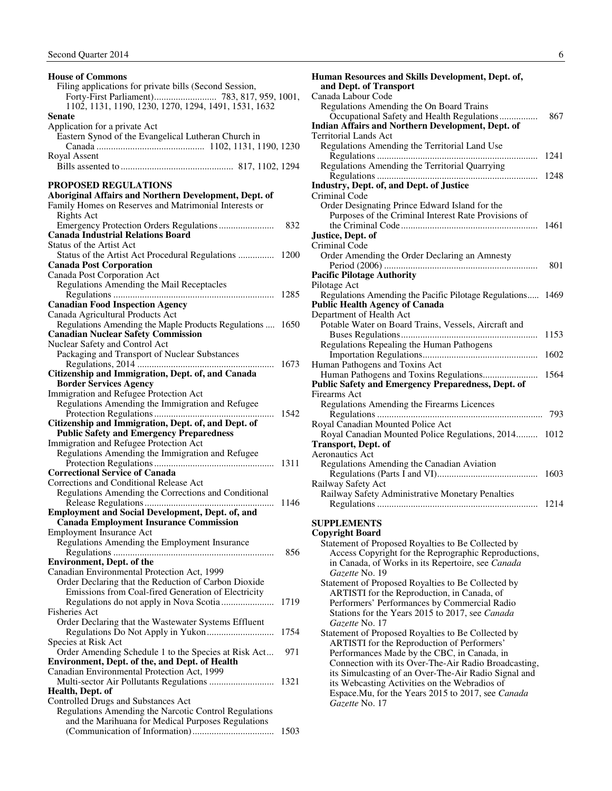<span id="page-7-0"></span>**House of Commons** 

| Filing applications for private bills (Second Session,                                    |      |
|-------------------------------------------------------------------------------------------|------|
|                                                                                           |      |
| 1102, 1131, 1190, 1230, 1270, 1294, 1491, 1531, 1632                                      |      |
| Senate                                                                                    |      |
| Application for a private Act                                                             |      |
| Eastern Synod of the Evangelical Lutheran Church in                                       |      |
|                                                                                           |      |
| Royal Assent                                                                              |      |
|                                                                                           |      |
|                                                                                           |      |
| <b>PROPOSED REGULATIONS</b>                                                               |      |
| Aboriginal Affairs and Northern Development, Dept. of                                     |      |
| Family Homes on Reserves and Matrimonial Interests or                                     |      |
| Rights Act                                                                                |      |
|                                                                                           | 832  |
| <b>Canada Industrial Relations Board</b>                                                  |      |
| Status of the Artist Act                                                                  |      |
| Status of the Artist Act Procedural Regulations  1200                                     |      |
| <b>Canada Post Corporation</b>                                                            |      |
| Canada Post Corporation Act                                                               |      |
| Regulations Amending the Mail Receptacles                                                 |      |
|                                                                                           | 1285 |
| <b>Canadian Food Inspection Agency</b>                                                    |      |
| Canada Agricultural Products Act                                                          |      |
| Regulations Amending the Maple Products Regulations  1650                                 |      |
| <b>Canadian Nuclear Safety Commission</b>                                                 |      |
| Nuclear Safety and Control Act                                                            |      |
| Packaging and Transport of Nuclear Substances                                             |      |
| .                                                                                         | 1673 |
| Citizenship and Immigration, Dept. of, and Canada                                         |      |
| <b>Border Services Agency</b>                                                             |      |
| Immigration and Refugee Protection Act                                                    |      |
| Regulations Amending the Immigration and Refugee                                          |      |
| Citizenship and Immigration, Dept. of, and Dept. of                                       | 1542 |
|                                                                                           |      |
| <b>Public Safety and Emergency Preparedness</b><br>Immigration and Refugee Protection Act |      |
| Regulations Amending the Immigration and Refugee                                          |      |
|                                                                                           | 1311 |
| <b>Correctional Service of Canada</b>                                                     |      |
| Corrections and Conditional Release Act                                                   |      |
| Regulations Amending the Corrections and Conditional                                      |      |
|                                                                                           | 1146 |
| <b>Employment and Social Development, Dept. of, and</b>                                   |      |
| <b>Canada Employment Insurance Commission</b>                                             |      |
| Employment Insurance Act                                                                  |      |
| Regulations Amending the Employment Insurance                                             |      |
|                                                                                           | 856  |
| <b>Environment, Dept. of the</b>                                                          |      |
| Canadian Environmental Protection Act, 1999                                               |      |
| Order Declaring that the Reduction of Carbon Dioxide                                      |      |
| Emissions from Coal-fired Generation of Electricity                                       |      |
|                                                                                           | 1719 |
| <b>Fisheries Act</b>                                                                      |      |
| Order Declaring that the Wastewater Systems Effluent                                      |      |
|                                                                                           | 1754 |
| Species at Risk Act                                                                       |      |
| Order Amending Schedule 1 to the Species at Risk Act                                      | 971  |
| Environment, Dept. of the, and Dept. of Health                                            |      |
| Canadian Environmental Protection Act, 1999                                               |      |
|                                                                                           | 1321 |
| Health, Dept. of                                                                          |      |
| Controlled Drugs and Substances Act                                                       |      |
| Regulations Amending the Narcotic Control Regulations                                     |      |
| and the Marihuana for Medical Purposes Regulations                                        |      |
|                                                                                           | 1503 |

| v<br>۹<br>i<br>٠<br>ł<br>v.<br>۰. |  |
|-----------------------------------|--|
|                                   |  |

| Human Resources and Skills Development, Dept. of,<br>and Dept. of Transport |      |
|-----------------------------------------------------------------------------|------|
| Canada Labour Code                                                          |      |
| Regulations Amending the On Board Trains                                    |      |
| Occupational Safety and Health Regulations                                  | 867  |
| <b>Indian Affairs and Northern Development, Dept. of</b>                    |      |
| Territorial Lands Act                                                       |      |
| Regulations Amending the Territorial Land Use                               |      |
|                                                                             | 1241 |
| Regulations Amending the Territorial Quarrying                              |      |
|                                                                             |      |
| Industry, Dept. of, and Dept. of Justice                                    |      |
| Criminal Code                                                               |      |
| Order Designating Prince Edward Island for the                              |      |
| Purposes of the Criminal Interest Rate Provisions of                        |      |
|                                                                             | 1461 |
| Justice, Dept. of                                                           |      |
| Criminal Code                                                               |      |
| Order Amending the Order Declaring an Amnesty                               |      |
|                                                                             | 801  |
| <b>Pacific Pilotage Authority</b>                                           |      |
| Pilotage Act                                                                |      |
| Regulations Amending the Pacific Pilotage Regulations 1469                  |      |
| <b>Public Health Agency of Canada</b>                                       |      |
| Department of Health Act                                                    |      |
| Potable Water on Board Trains, Vessels, Aircraft and                        |      |
|                                                                             | 1153 |
| Regulations Repealing the Human Pathogens                                   |      |
|                                                                             | 1602 |
| Human Pathogens and Toxins Act                                              |      |
|                                                                             | 1564 |
| <b>Public Safety and Emergency Preparedness, Dept. of</b>                   |      |
| Firearms Act                                                                |      |
| Regulations Amending the Firearms Licences                                  |      |
|                                                                             | 793  |
| Royal Canadian Mounted Police Act                                           |      |
| Royal Canadian Mounted Police Regulations, 2014 1012                        |      |
| <b>Transport, Dept. of</b>                                                  |      |
| <b>Aeronautics Act</b>                                                      |      |
| Regulations Amending the Canadian Aviation                                  |      |
|                                                                             | 1603 |
| Railway Safety Act                                                          |      |
| Railway Safety Administrative Monetary Penalties                            |      |
|                                                                             | 1214 |

### **SUPPLEMENTS**

**Copyright Board** 

- Statement of Proposed Royalties to Be Collected by Access Copyright for the Reprographic Reproductions, in Canada, of Works in its Repertoire, see *Canada Gazette* No. 19 Statement of Proposed Royalties to Be Collected by ARTISTI for the Reproduction, in Canada, of Performers' Performances by Commercial Radio Stations for the Years 2015 to 2017, see *Canada Gazette* No. 17 Statement of Proposed Royalties to Be Collected by
- ARTISTI for the Reproduction of Performers' Performances Made by the CBC, in Canada, in Connection with its Over-The-Air Radio Broadcasting, its Simulcasting of an Over-The-Air Radio Signal and its Webcasting Activities on the Webradios of Espace.Mu, for the Years 2015 to 2017, see *Canada Gazette* No. 17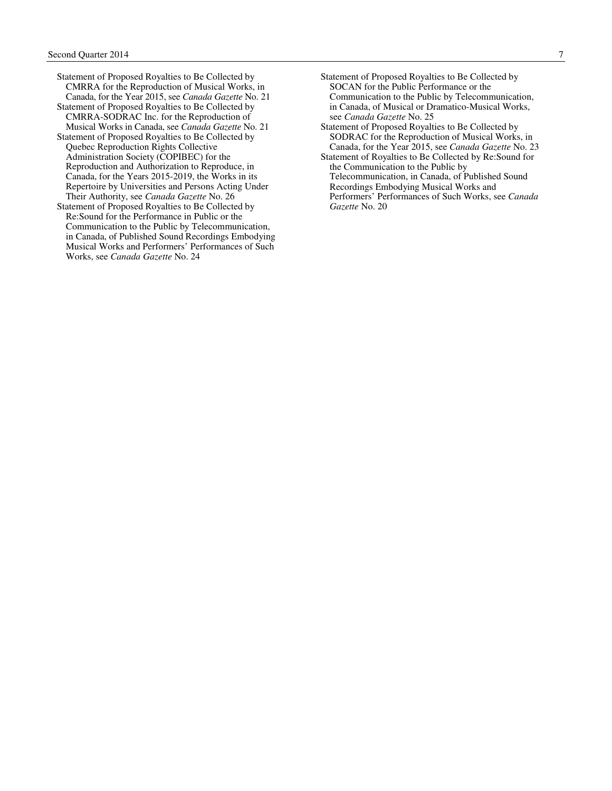- Statement of Proposed Royalties to Be Collected by CMRRA for the Reproduction of Musical Works, in Canada, for the Year 2015, see *Canada Gazette* No. 21
- Statement of Proposed Royalties to Be Collected by CMRRA-SODRAC Inc. for the Reproduction of Musical Works in Canada, see *Canada Gazette* No. 21
- Statement of Proposed Royalties to Be Collected by Quebec Reproduction Rights Collective Administration Society (COPIBEC) for the Reproduction and Authorization to Reproduce, in Canada, for the Years 2015-2019, the Works in its Repertoire by Universities and Persons Acting Under Their Authority, see *Canada Gazette* No. 26
- Statement of Proposed Royalties to Be Collected by Re:Sound for the Performance in Public or the Communication to the Public by Telecommunication, in Canada, of Published Sound Recordings Embodying Musical Works and Performers' Performances of Such Works, see *Canada Gazette* No. 24
- Statement of Proposed Royalties to Be Collected by SOCAN for the Public Performance or the Communication to the Public by Telecommunication, in Canada, of Musical or Dramatico-Musical Works, see *Canada Gazette* No. 25
- Statement of Proposed Royalties to Be Collected by SODRAC for the Reproduction of Musical Works, in Canada, for the Year 2015, see *Canada Gazette* No. 23
- Statement of Royalties to Be Collected by Re:Sound for the Communication to the Public by Telecommunication, in Canada, of Published Sound Recordings Embodying Musical Works and Performers' Performances of Such Works, see *Canada Gazette* No. 20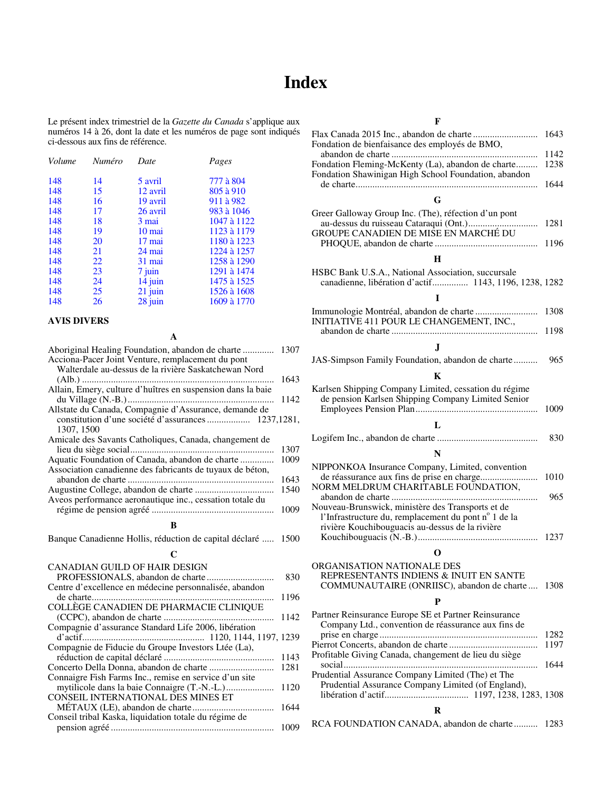# **Index**

<span id="page-9-0"></span>Le présent index trimestriel de la *Gazette du Canada* s'applique aux numéros 14 à 26, dont la date et les numéros de page sont indiqués ci-dessous aux fins de référence.

| Numéro | Date     | Pages       |
|--------|----------|-------------|
| 14     | 5 avril  | 777 à 804   |
| 15     | 12 avril | 805 à 910   |
| 16     | 19 avril | 911 à 982   |
| 17     | 26 avril | 983 à 1046  |
| 18     | 3 mai    | 1047 à 1122 |
| 19     | 10 mai   | 1123 à 1179 |
| 20     | 17 mai   | 1180 à 1223 |
| 21     | 24 mai   | 1224 à 1257 |
| 22     | 31 mai   | 1258 à 1290 |
| 23     | 7 juin   | 1291 à 1474 |
| 24     | 14 juin  | 1475 à 1525 |
| 25     | 21 juin  | 1526 à 1608 |
| 26     | 28 juin  | 1609 à 1770 |
|        |          |             |

#### **AVIS DIVERS**

| Aboriginal Healing Foundation, abandon de charte<br>Acciona-Pacer Joint Venture, remplacement du pont<br>Walterdale au-dessus de la rivière Saskatchewan Nord | 1307 |
|---------------------------------------------------------------------------------------------------------------------------------------------------------------|------|
| Allain, Emery, culture d'huîtres en suspension dans la baie                                                                                                   | 1643 |
|                                                                                                                                                               | 1142 |
| Allstate du Canada, Compagnie d'Assurance, demande de<br>1307, 1500                                                                                           |      |
| Amicale des Savants Catholiques, Canada, changement de                                                                                                        | 1307 |
| Aquatic Foundation of Canada, abandon de charte                                                                                                               | 1009 |
| Association canadienne des fabricants de tuyaux de béton,                                                                                                     | 1643 |
|                                                                                                                                                               | 1540 |
| Aveos performance aeronautique inc., cessation totale du                                                                                                      |      |
|                                                                                                                                                               | 1009 |
| B                                                                                                                                                             |      |
| Banque Canadienne Hollis, réduction de capital déclaré                                                                                                        | 1500 |
| C                                                                                                                                                             |      |
| CANADIAN GUILD OF HAIR DESIGN                                                                                                                                 |      |
|                                                                                                                                                               | 830  |
| Centre d'excellence en médecine personnalisée, abandon                                                                                                        | 1196 |
| COLLÈGE CANADIEN DE PHARMACIE CLINIQUE                                                                                                                        |      |
| Compagnie d'assurance Standard Life 2006, libération                                                                                                          | 1142 |
|                                                                                                                                                               | 1239 |
| Compagnie de Fiducie du Groupe Investors Ltée (La),                                                                                                           |      |
|                                                                                                                                                               | 1143 |
|                                                                                                                                                               | 1281 |
| Connaigre Fish Farms Inc., remise en service d'un site                                                                                                        |      |
| <b>CONSEIL INTERNATIONAL DES MINES ET</b>                                                                                                                     |      |
|                                                                                                                                                               | 1120 |
|                                                                                                                                                               | 1644 |
| Conseil tribal Kaska, liquidation totale du régime de                                                                                                         | 1009 |

#### **F**

| Fondation de bienfaisance des employés de BMO,                                                              | 1643 |
|-------------------------------------------------------------------------------------------------------------|------|
|                                                                                                             | 1142 |
| Fondation Fleming-McKenty (La), abandon de charte<br>Fondation Shawinigan High School Foundation, abandon   | 1238 |
|                                                                                                             | 1644 |
| G                                                                                                           |      |
| Greer Galloway Group Inc. (The), réfection d'un pont<br>GROUPE CANADIEN DE MISE EN MARCHÉ DU                | 1281 |
|                                                                                                             | 1196 |
| н                                                                                                           |      |
| HSBC Bank U.S.A., National Association, succursale                                                          |      |
| canadienne, libération d'actif 1143, 1196, 1238, 1282                                                       |      |
| I                                                                                                           |      |
| INITIATIVE 411 POUR LE CHANGEMENT, INC.,                                                                    | 1308 |
|                                                                                                             | 1198 |
| $\mathbf{J}$                                                                                                |      |
|                                                                                                             |      |
| JAS-Simpson Family Foundation, abandon de charte                                                            | 965  |
| K                                                                                                           |      |
| Karlsen Shipping Company Limited, cessation du régime                                                       |      |
| de pension Karlsen Shipping Company Limited Senior                                                          |      |
|                                                                                                             | 1009 |
|                                                                                                             |      |
| L                                                                                                           |      |
|                                                                                                             | 830  |
| N                                                                                                           |      |
|                                                                                                             |      |
| NIPPONKOA Insurance Company, Limited, convention                                                            |      |
|                                                                                                             | 1010 |
| NORM MELDRUM CHARITABLE FOUNDATION,                                                                         |      |
|                                                                                                             | 965  |
| Nouveau-Brunswick, ministère des Transports et de                                                           |      |
| l'Infrastructure du, remplacement du pont n° 1 de la<br>rivière Kouchibouguacis au-dessus de la rivière     |      |
|                                                                                                             | 1237 |
|                                                                                                             |      |
| O                                                                                                           |      |
| ORGANISATION NATIONALE DES                                                                                  |      |
| REPRESENTANTS INDIENS & INUIT EN SANTE                                                                      |      |
| COMMUNAUTAIRE (ONRIISC), abandon de charte  1308                                                            |      |
|                                                                                                             |      |
| P                                                                                                           |      |
| Partner Reinsurance Europe SE et Partner Reinsurance<br>Company Ltd., convention de réassurance aux fins de |      |
|                                                                                                             | 1282 |
| Profitable Giving Canada, changement de lieu du siège                                                       | 1197 |
|                                                                                                             | 1644 |
| Prudential Assurance Company Limited (The) et The<br>Prudential Assurance Company Limited (of England),     |      |
|                                                                                                             |      |
| R                                                                                                           |      |
| RCA FOUNDATION CANADA, abandon de charte 1283                                                               |      |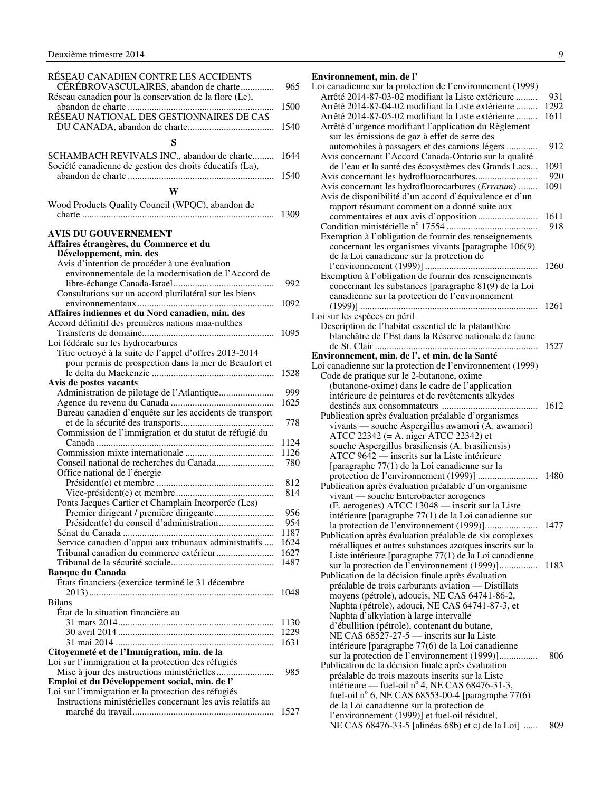<span id="page-10-0"></span>

| RÉSEAU CANADIEN CONTRE LES ACCIDENTS                        |      |
|-------------------------------------------------------------|------|
| CÉRÉBROVASCULAIRES, abandon de charte                       | 965  |
| Réseau canadien pour la conservation de la flore (Le),      |      |
|                                                             | 1500 |
| RÉSEAU NATIONAL DES GESTIONNAIRES DE CAS                    |      |
|                                                             | 1540 |
|                                                             |      |
| S                                                           |      |
| SCHAMBACH REVIVALS INC., abandon de charte                  | 1644 |
| Société canadienne de gestion des droits éducatifs (La),    |      |
|                                                             | 1540 |
|                                                             |      |
| W                                                           |      |
| Wood Products Quality Council (WPQC), abandon de            |      |
|                                                             | 1309 |
|                                                             |      |
| <b>AVIS DU GOUVERNEMENT</b>                                 |      |
| Affaires étrangères, du Commerce et du                      |      |
| Développement, min. des                                     |      |
| Avis d'intention de procéder à une évaluation               |      |
| environnementale de la modernisation de l'Accord de         |      |
|                                                             | 992  |
| Consultations sur un accord plurilatéral sur les biens      |      |
|                                                             |      |
|                                                             | 1092 |
| Affaires indiennes et du Nord canadien, min. des            |      |
| Accord définitif des premières nations maa-nulthes          |      |
|                                                             | 1095 |
| Loi fédérale sur les hydrocarbures                          |      |
| Titre octroyé à la suite de l'appel d'offres 2013-2014      |      |
| pour permis de prospection dans la mer de Beaufort et       |      |
|                                                             | 1528 |
| Avis de postes vacants                                      |      |
|                                                             | 999  |
|                                                             | 1625 |
| Bureau canadien d'enquête sur les accidents de transport    |      |
|                                                             | 778  |
| Commission de l'immigration et du statut de réfugié du      |      |
|                                                             | 1124 |
|                                                             | 1126 |
| Conseil national de recherches du Canada                    | 780  |
| Office national de l'énergie                                |      |
|                                                             | 812  |
|                                                             | 814  |
| Ponts Jacques Cartier et Champlain Incorporée (Les)         |      |
|                                                             | 956  |
| Président(e) du conseil d'administration                    | 954  |
|                                                             | 1187 |
| Service canadien d'appui aux tribunaux administratifs       | 1624 |
| Tribunal canadien du commerce extérieur                     | 1627 |
|                                                             | 1487 |
| <b>Banque du Canada</b>                                     |      |
| États financiers (exercice terminé le 31 décembre           |      |
|                                                             | 1048 |
| <b>Bilans</b>                                               |      |
| État de la situation financière au                          |      |
|                                                             |      |
|                                                             | 1130 |
|                                                             | 1229 |
|                                                             | 1631 |
| Citoyenneté et de l'Immigration, min. de la                 |      |
| Loi sur l'immigration et la protection des réfugiés         |      |
|                                                             | 985  |
| Emploi et du Développement social, min. de l'               |      |
| Loi sur l'immigration et la protection des réfugiés         |      |
| Instructions ministérielles concernant les avis relatifs au |      |
|                                                             | 1527 |

#### **Environnement, min. de l'**  Loi canadienne sur la protection de l'environnement (1999) Arrêté 2014-87-03-02 modifiant la Liste extérieure ......... 931 Arrêté 2014-87-04-02 modifiant la Liste extérieure ......... 1292 Arrêté 2014-87-05-02 modifiant la Liste extérieure ......... 1611 Arrêté d'urgence modifiant l'application du Règlement sur les émissions de gaz à effet de serre des automobiles à passagers et des camions légers ............. 912 Avis concernant l'Accord Canada-Ontario sur la qualité de l'eau et la santé des écosystèmes des Grands Lacs... 1091 Avis concernant les hydrofluorocarbures.......................... 920

| Avis concernant les hydrofluorocarbures (Erratum)<br>Avis de disponibilité d'un accord d'équivalence et d'un                                                       | 1091 |
|--------------------------------------------------------------------------------------------------------------------------------------------------------------------|------|
| rapport résumant comment on a donné suite aux                                                                                                                      | 1611 |
|                                                                                                                                                                    | 918  |
| Exemption à l'obligation de fournir des renseignements                                                                                                             |      |
| concernant les organismes vivants [paragraphe 106(9)<br>de la Loi canadienne sur la protection de                                                                  |      |
|                                                                                                                                                                    | 1260 |
| Exemption à l'obligation de fournir des renseignements<br>concernant les substances [paragraphe 81(9) de la Loi<br>canadienne sur la protection de l'environnement |      |
|                                                                                                                                                                    | 1261 |
| Loi sur les espèces en péril                                                                                                                                       |      |
| Description de l'habitat essentiel de la platanthère                                                                                                               |      |
| blanchâtre de l'Est dans la Réserve nationale de faune                                                                                                             |      |
| .                                                                                                                                                                  | 1527 |
| Environnement, min. de l', et min. de la Santé<br>Loi canadienne sur la protection de l'environnement (1999)                                                       |      |
| Code de pratique sur le 2-butanone, oxime                                                                                                                          |      |
| (butanone-oxime) dans le cadre de l'application                                                                                                                    |      |
| intérieure de peintures et de revêtements alkydes                                                                                                                  |      |
|                                                                                                                                                                    | 1612 |
| Publication après évaluation préalable d'organismes                                                                                                                |      |
| vivants — souche Aspergillus awamori (A. awamori)                                                                                                                  |      |
| ATCC 22342 (= A. niger ATCC 22342) et                                                                                                                              |      |
| souche Aspergillus brasiliensis (A. brasiliensis)                                                                                                                  |      |
| ATCC 9642 — inscrits sur la Liste intérieure                                                                                                                       |      |
| [paragraphe 77(1) de la Loi canadienne sur la                                                                                                                      |      |
| Publication après évaluation préalable d'un organisme                                                                                                              | 1480 |
| vivant - souche Enterobacter aerogenes                                                                                                                             |      |
| (E. aerogenes) ATCC 13048 - inscrit sur la Liste                                                                                                                   |      |
| intérieure [paragraphe 77(1) de la Loi canadienne sur                                                                                                              |      |
|                                                                                                                                                                    | 1477 |
| Publication après évaluation préalable de six complexes                                                                                                            |      |
| métalliques et autres substances azoïques inscrits sur la                                                                                                          |      |
| Liste intérieure [paragraphe 77(1) de la Loi canadienne                                                                                                            |      |
| sur la protection de l'environnement (1999)]                                                                                                                       | 1183 |
| Publication de la décision finale après évaluation                                                                                                                 |      |
| préalable de trois carburants aviation — Distillats<br>moyens (pétrole), adoucis, NE CAS 64741-86-2,                                                               |      |
| Naphta (pétrole), adouci, NE CAS 64741-87-3, et                                                                                                                    |      |
| Naphta d'alkylation à large intervalle                                                                                                                             |      |
| d'ébullition (pétrole), contenant du butane,                                                                                                                       |      |
| NE CAS $685\overline{27}$ -27-5 — inscrits sur la Liste                                                                                                            |      |
| intérieure [paragraphe 77(6) de la Loi canadienne                                                                                                                  |      |
| sur la protection de l'environnement (1999)]                                                                                                                       | 806  |
| Publication de la décision finale après évaluation                                                                                                                 |      |
| préalable de trois mazouts inscrits sur la Liste                                                                                                                   |      |
| intérieure — fuel-oil n° 4, NE CAS 68476-31-3,                                                                                                                     |      |
| fuel-oil nº 6, NE CAS 68553-00-4 [paragraphe 77(6)<br>de la Loi canadienne sur la protection de                                                                    |      |
| l'environnement (1999)] et fuel-oil résiduel,                                                                                                                      |      |
| NE CAS 68476-33-5 [alinéas 68b) et c) de la Loi]                                                                                                                   | 809  |
|                                                                                                                                                                    |      |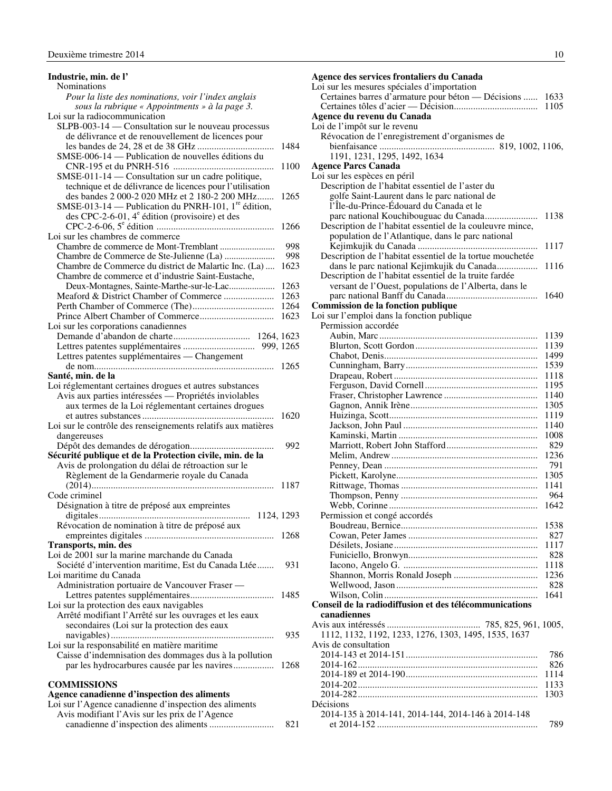<span id="page-11-0"></span>

| Industrie, min. de l'                                                                                            |      |
|------------------------------------------------------------------------------------------------------------------|------|
| <b>Nominations</b>                                                                                               |      |
| Pour la liste des nominations, voir l'index anglais                                                              |      |
| sous la rubrique « Appointments » à la page 3.                                                                   |      |
| Loi sur la radiocommunication                                                                                    |      |
| SLPB-003-14 — Consultation sur le nouveau processus                                                              |      |
| de délivrance et de renouvellement de licences pour                                                              |      |
|                                                                                                                  | 1484 |
| SMSE-006-14 — Publication de nouvelles éditions du                                                               |      |
|                                                                                                                  | 1100 |
| SMSE-011-14 - Consultation sur un cadre politique,                                                               |      |
| technique et de délivrance de licences pour l'utilisation                                                        |      |
| des bandes 2 000-2 020 MHz et 2 180-2 200 MHz<br>SMSE-013-14 — Publication du PNRH-101, 1 <sup>re</sup> édition, | 1265 |
| des CPC-2-6-01, $4^e$ édition (provisoire) et des                                                                |      |
|                                                                                                                  | 1266 |
| Loi sur les chambres de commerce                                                                                 |      |
|                                                                                                                  | 998  |
|                                                                                                                  | 998  |
| Chambre de Commerce du district de Malartic Inc. (La)                                                            | 1623 |
| Chambre de commerce et d'industrie Saint-Eustache,                                                               |      |
| Deux-Montagnes, Sainte-Marthe-sur-le-Lac                                                                         | 1263 |
| Meaford & District Chamber of Commerce                                                                           | 1263 |
|                                                                                                                  | 1264 |
|                                                                                                                  | 1623 |
| Loi sur les corporations canadiennes                                                                             |      |
|                                                                                                                  |      |
|                                                                                                                  |      |
| Lettres patentes supplémentaires — Changement                                                                    |      |
|                                                                                                                  |      |
| Santé, min. de la                                                                                                |      |
| Loi réglementant certaines drogues et autres substances                                                          |      |
| Avis aux parties intéressées - Propriétés inviolables                                                            |      |
| aux termes de la Loi réglementant certaines drogues                                                              |      |
|                                                                                                                  | 1620 |
| Loi sur le contrôle des renseignements relatifs aux matières                                                     |      |
| dangereuses                                                                                                      |      |
|                                                                                                                  | 992  |
| Sécurité publique et de la Protection civile, min. de la                                                         |      |
| Avis de prolongation du délai de rétroaction sur le                                                              |      |
| Règlement de la Gendarmerie royale du Canada                                                                     |      |
|                                                                                                                  |      |
| Code criminel                                                                                                    |      |
| Désignation à titre de préposé aux empreintes                                                                    |      |
|                                                                                                                  |      |
| Révocation de nomination à titre de préposé aux                                                                  |      |
|                                                                                                                  | 1268 |
| Transports, min. des                                                                                             |      |
| Loi de 2001 sur la marine marchande du Canada                                                                    |      |
| Société d'intervention maritime, Est du Canada Ltée                                                              | 931  |
| Loi maritime du Canada                                                                                           |      |
| Administration portuaire de Vancouver Fraser -                                                                   |      |
|                                                                                                                  | 1485 |
| Loi sur la protection des eaux navigables<br>Arrêté modifiant l'Arrêté sur les ouvrages et les eaux              |      |
|                                                                                                                  |      |
| secondaires (Loi sur la protection des eaux                                                                      | 935  |
| Loi sur la responsabilité en matière maritime                                                                    |      |
| Caisse d'indemnisation des dommages dus à la pollution                                                           |      |
| par les hydrocarbures causée par les navires                                                                     | 1268 |
|                                                                                                                  |      |
| COMMISSIONS                                                                                                      |      |
| Agence canadienne d'inspection des aliments                                                                      |      |
| Loi sur l'Agence canadienne d'inspection des aliments                                                            |      |
| Avis modifiant l'Avis sur les prix de l'Agence                                                                   |      |

canadienne d'inspection des aliments ........................... 821

**Agence des services frontaliers du Canada**  Loi sur les mesures spéciales d'importation Certaines barres d'armature pour béton — Décisions ...... 1633 Certaines tôles d'acier — Décision................................... 1105 **Agence du revenu du Canada**  Loi de l'impôt sur le revenu Révocation de l'enregistrement d'organismes de bienfaisance ................................................ 819, 1002, 1106, 1191, 1231, 1295, 1492, 1634 **Agence Parcs Canada**  Loi sur les espèces en péril Description de l'habitat essentiel de l'aster du golfe Saint-Laurent dans le parc national de l'Île-du-Prince-Édouard du Canada et le parc national Kouchibouguac du Canada...................... 1138 Description de l'habitat essentiel de la couleuvre mince, population de l'Atlantique, dans le parc national Kejimkujik du Canada .................................................. 1117 Description de l'habitat essentiel de la tortue mouchetée dans le parc national Kejimkujik du Canada................. 1116 Description de l'habitat essentiel de la truite fardée versant de l'Ouest, populations de l'Alberta, dans le parc national Banff du Canada...................................... 1640 **Commission de la fonction publique**  Loi sur l'emploi dans la fonction publique Permission accordée Aubin, Marc .................................................................. 1139 Blurton, Scott Gordon................................................... 1139 Chabot, Denis................................................................ 1499 Cunningham, Barry....................................................... 1539 Drapeau, Robert ............................................................ 1118 Ferguson, David Cornell............................................... 1195 Fraser, Christopher Lawrence ....................................... 1140 Gagnon, Annik Irène..................................................... 1305 Huizinga, Scott.............................................................. 1119 Jackson, John Paul ........................................................ 1140 Kaminski, Martin .......................................................... 1008 Marriott, Robert John Stafford...................................... 829 Melim, Andrew ............................................................. 1236 Penney, Dean ................................................................ 791 Pickett, Karolyne........................................................... 1305 Rittwage, Thomas ......................................................... 1141 Thompson, Penny ......................................................... 964 Webb, Corinne .............................................................. 1642 Permission et congé accordés Boudreau, Bernice......................................................... 1538 Cowan, Peter James ...................................................... 827 Désilets, Josiane............................................................ 1117 Funiciello, Bronwyn...................................................... 828 Iacono, Angelo G. ........................................................ 1118 Shannon, Morris Ronald Joseph ................................... 1236 Wellwood, Jason........................................................... 828 Wilson, Colin ................................................................ 1641 **Conseil de la radiodiffusion et des télécommunications canadiennes**  Avis aux intéressés ....................................... 785, 825, 961, 1005, 1112, 1132, 1192, 1233, 1276, 1303, 1495, 1535, 1637 Avis de consultation 2014-143 et 2014-151....................................................... 786 2014-162........................................................................... 826 2014-189 et 2014-190....................................................... 1114 2014-202........................................................................... 1133 2014-282........................................................................... 1303 Décisions 2014-135 à 2014-141, 2014-144, 2014-146 à 2014-148 et 2014-152 ................................................................... 789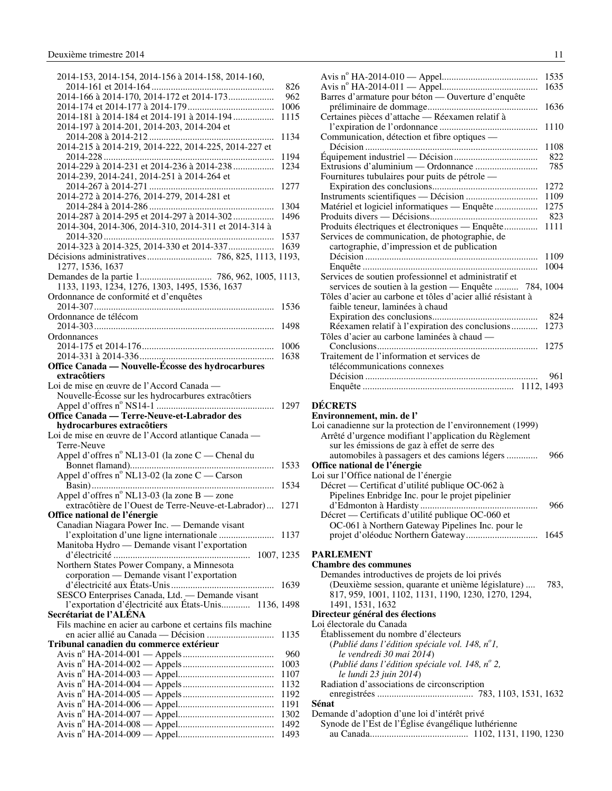<span id="page-12-0"></span>

| 2014-153, 2014-154, 2014-156 à 2014-158, 2014-160,        |              |
|-----------------------------------------------------------|--------------|
|                                                           | 826          |
| 2014-166 à 2014-170, 2014-172 et 2014-173                 | 962          |
|                                                           | 1006         |
| 2014-181 à 2014-184 et 2014-191 à 2014-194                | 1115         |
| 2014-197 à 2014-201, 2014-203, 2014-204 et                |              |
|                                                           | 1134         |
| 2014-215 à 2014-219, 2014-222, 2014-225, 2014-227 et      |              |
|                                                           | 1194         |
| 2014-229 à 2014-231 et 2014-236 à 2014-238                | 1234         |
| 2014-239, 2014-241, 2014-251 à 2014-264 et                |              |
|                                                           | 1277         |
| 2014-272 à 2014-276, 2014-279, 2014-281 et                |              |
|                                                           | 1304         |
| 2014-287 à 2014-295 et 2014-297 à 2014-302                | 1496         |
| 2014-304, 2014-306, 2014-310, 2014-311 et 2014-314 à      |              |
|                                                           | 1537         |
| 2014-323 à 2014-325, 2014-330 et 2014-337                 | 1639         |
| Décisions administratives  786, 825, 1113, 1193,          |              |
| 1277, 1536, 1637                                          |              |
|                                                           |              |
| 1133, 1193, 1234, 1276, 1303, 1495, 1536, 1637            |              |
| Ordonnance de conformité et d'enquêtes                    |              |
|                                                           | 1536         |
| Ordonnance de télécom                                     |              |
|                                                           | 1498         |
| Ordonnances                                               |              |
|                                                           | 1006         |
|                                                           | 1638         |
| Office Canada — Nouvelle-Écosse des hydrocarbures         |              |
| extracôtiers                                              |              |
| Loi de mise en œuvre de l'Accord Canada —                 |              |
| Nouvelle-Écosse sur les hydrocarbures extracôtiers        |              |
|                                                           |              |
|                                                           | 1297         |
| Office Canada - Terre-Neuve-et-Labrador des               |              |
| hydrocarbures extracôtiers                                |              |
| Loi de mise en œuvre de l'Accord atlantique Canada —      |              |
| Terre-Neuve                                               |              |
| Appel d'offres nº NL13-01 (la zone C - Chenal du          |              |
|                                                           | 1533         |
| Appel d'offres nº NL13-02 (la zone C — Carson             |              |
|                                                           | 1534         |
| Appel d'offres n° NL13-03 (la zone B — zone               |              |
| extracôtière de l'Ouest de Terre-Neuve-et-Labrador)       | 1271         |
| Office national de l'énergie                              |              |
| Canadian Niagara Power Inc. - Demande visant              |              |
|                                                           |              |
| Manitoba Hydro — Demande visant l'exportation             |              |
| 1007, 1235                                                |              |
| Northern States Power Company, a Minnesota                |              |
| corporation — Demande visant l'exportation                |              |
|                                                           | 1639         |
| SESCO Enterprises Canada, Ltd. - Demande visant           |              |
| l'exportation d'électricité aux États-Unis 1136, 1498     |              |
| Secrétariat de l'ALÉNA                                    |              |
| Fils machine en acier au carbone et certains fils machine |              |
|                                                           | 1135         |
| Tribunal canadien du commerce extérieur                   |              |
|                                                           | 960          |
|                                                           | 1003         |
|                                                           | 1107         |
|                                                           | 1132         |
|                                                           | 1192         |
|                                                           | 1191         |
|                                                           | 1302         |
|                                                           | 1492<br>1493 |

|                                                                                                                                                                    | 1535 |
|--------------------------------------------------------------------------------------------------------------------------------------------------------------------|------|
|                                                                                                                                                                    | 1635 |
| Barres d'armature pour béton — Ouverture d'enquête                                                                                                                 |      |
|                                                                                                                                                                    | 1636 |
| Certaines pièces d'attache - Réexamen relatif à                                                                                                                    |      |
|                                                                                                                                                                    | 1110 |
| Communication, détection et fibre optiques —                                                                                                                       |      |
|                                                                                                                                                                    | 1108 |
|                                                                                                                                                                    | 822  |
| Extrusions d'aluminium — Ordonnance                                                                                                                                | 785  |
| Fournitures tubulaires pour puits de pétrole —                                                                                                                     |      |
|                                                                                                                                                                    | 1272 |
|                                                                                                                                                                    | 1109 |
| Matériel et logiciel informatiques — Enquête                                                                                                                       | 1275 |
|                                                                                                                                                                    | 823  |
| Produits électriques et électroniques — Enquête                                                                                                                    | 1111 |
| Services de communication, de photographie, de                                                                                                                     |      |
| cartographie, d'impression et de publication                                                                                                                       |      |
|                                                                                                                                                                    | 1109 |
|                                                                                                                                                                    | 1004 |
| Services de soutien professionnel et administratif et                                                                                                              |      |
| services de soutien à la gestion — Enquête  784, 1004                                                                                                              |      |
| Tôles d'acier au carbone et tôles d'acier allié résistant à                                                                                                        |      |
| faible teneur, laminées à chaud                                                                                                                                    |      |
|                                                                                                                                                                    | 824  |
| Réexamen relatif à l'expiration des conclusions                                                                                                                    | 1273 |
| Tôles d'acier au carbone laminées à chaud —                                                                                                                        |      |
|                                                                                                                                                                    | 1275 |
| Traitement de l'information et services de                                                                                                                         |      |
| télécommunications connexes                                                                                                                                        |      |
|                                                                                                                                                                    | 961  |
|                                                                                                                                                                    |      |
|                                                                                                                                                                    |      |
| <b>DÉCRETS</b><br>Environnement, min. de l'<br>Loi canadienne sur la protection de l'environnement (1999)<br>Arrêté d'urgence modifiant l'application du Règlement |      |
| sur les émissions de gaz à effet de serre des                                                                                                                      |      |
| automobiles à passagers et des camions légers                                                                                                                      | 966  |
| Office national de l'énergie                                                                                                                                       |      |
| Loi sur l'Office national de l'énergie                                                                                                                             |      |
| Décret — Certificat d'utilité publique OC-062 à                                                                                                                    |      |
| Pipelines Enbridge Inc. pour le projet pipelinier                                                                                                                  |      |
|                                                                                                                                                                    | 966  |
| Décret — Certificats d'utilité publique OC-060 et                                                                                                                  |      |
| OC-061 à Northern Gateway Pipelines Inc. pour le                                                                                                                   |      |
|                                                                                                                                                                    | 1645 |
|                                                                                                                                                                    |      |
| <b>PARLEMENT</b>                                                                                                                                                   |      |
| <b>Chambre des communes</b>                                                                                                                                        |      |
| Demandes introductives de projets de loi privés                                                                                                                    | 783, |
| (Deuxième session, quarante et unième législature)<br>817, 959, 1001, 1102, 1131, 1190, 1230, 1270, 1294,                                                          |      |
| 1491, 1531, 1632                                                                                                                                                   |      |
| Directeur général des élections                                                                                                                                    |      |
| Loi électorale du Canada                                                                                                                                           |      |
| Établissement du nombre d'électeurs                                                                                                                                |      |
| (Publié dans l'édition spéciale vol. 148, $n^{\circ}$ 1,                                                                                                           |      |
| le vendredi 30 mai 2014)                                                                                                                                           |      |
| (Publié dans l'édition spéciale vol. 148, $n^{\circ}$ 2,                                                                                                           |      |
| le lundi 23 juin 2014)                                                                                                                                             |      |
| Radiation d'associations de circonscription                                                                                                                        |      |
|                                                                                                                                                                    |      |
| Sénat<br>Demande d'adoption d'une loi d'intérêt privé                                                                                                              |      |

- Synode de l'Est de l'Église évangélique luthérienne
- au Canada......................................... 1102, 1131, 1190, 1230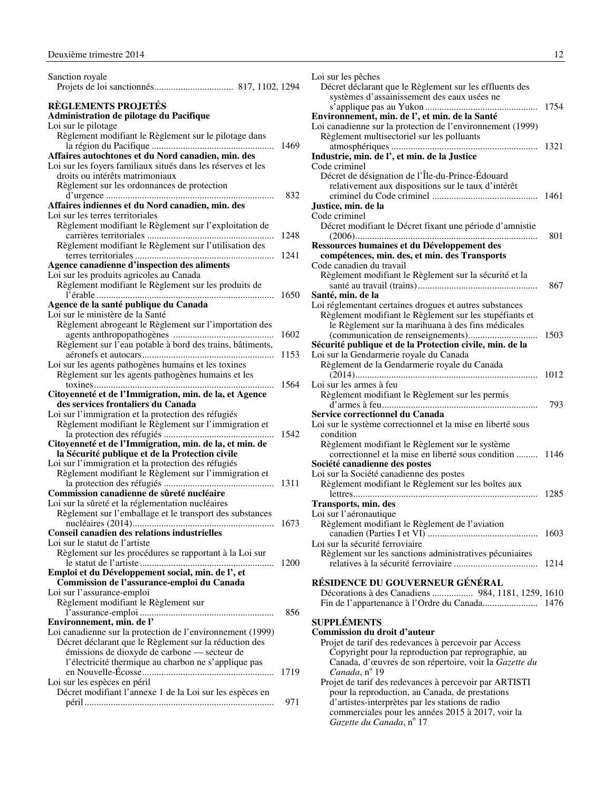<span id="page-13-0"></span>

| Sanction royale                                                                                                                                                |      |
|----------------------------------------------------------------------------------------------------------------------------------------------------------------|------|
| <b>RÈGLEMENTS PROJETÉS</b><br>Administration de pilotage du Pacifique                                                                                          |      |
| Loi sur le pilotage<br>Règlement modifiant le Règlement sur le pilotage dans                                                                                   | 1469 |
| Affaires autochtones et du Nord canadien, min. des<br>Loi sur les foyers familiaux situés dans les réserves et les                                             |      |
| droits ou intérêts matrimoniaux<br>Règlement sur les ordonnances de protection                                                                                 |      |
| Affaires indiennes et du Nord canadien, min. des<br>Loi sur les terres territoriales                                                                           | 832  |
| Règlement modifiant le Règlement sur l'exploitation de                                                                                                         | 1248 |
| Règlement modifiant le Règlement sur l'utilisation des                                                                                                         | 1241 |
| Agence canadienne d'inspection des aliments<br>Loi sur les produits agricoles au Canada<br>Règlement modifiant le Règlement sur les produits de                |      |
| Agence de la santé publique du Canada                                                                                                                          | 1650 |
| Loi sur le ministère de la Santé<br>Règlement abrogeant le Règlement sur l'importation des                                                                     |      |
| Règlement sur l'eau potable à bord des trains, bâtiments,                                                                                                      | 1602 |
| Loi sur les agents pathogènes humains et les toxines                                                                                                           | 1153 |
| Règlement sur les agents pathogènes humains et les<br>Citoyenneté et de l'Immigration, min. de la, et Agence                                                   | 1564 |
| des services frontaliers du Canada                                                                                                                             |      |
| Loi sur l'immigration et la protection des réfugiés<br>Règlement modifiant le Règlement sur l'immigration et                                                   | 1542 |
| Citoyenneté et de l'Immigration, min. de la, et min. de<br>la Sécurité publique et de la Protection civile                                                     |      |
| Loi sur l'immigration et la protection des réfugiés<br>Règlement modifiant le Règlement sur l'immigration et                                                   |      |
| Commission canadienne de sûreté nucléaire<br>Loi sur la sûreté et la réglementation nucléaires                                                                 | 1311 |
| Règlement sur l'emballage et le transport des substances                                                                                                       |      |
| Conseil canadien des relations industrielles<br>Loi sur le statut de l'artiste                                                                                 |      |
| Règlement sur les procédures se rapportant à la Loi sur                                                                                                        | 1200 |
| Emploi et du Développement social, min. de l', et<br>Commission de l'assurance-emploi du Canada<br>Loi sur l'assurance-emploi                                  |      |
| Règlement modifiant le Règlement sur                                                                                                                           | 856  |
| Environnement, min. de l'<br>Loi canadienne sur la protection de l'environnement (1999)                                                                        |      |
| Décret déclarant que le Règlement sur la réduction des<br>émissions de dioxyde de carbone — secteur de<br>l'électricité thermique au charbon ne s'applique pas |      |
| Loi sur les espèces en péril                                                                                                                                   | 1719 |
| Décret modifiant l'annexe 1 de la Loi sur les espèces en                                                                                                       | 971  |

| Loi sur les pêches                                          |      |
|-------------------------------------------------------------|------|
| Décret déclarant que le Règlement sur les effluents des     |      |
| systèmes d'assainissement des eaux usées ne                 |      |
|                                                             | 1754 |
| Environnement, min. de l', et min. de la Santé              |      |
| Loi canadienne sur la protection de l'environnement (1999)  |      |
| Règlement multisectoriel sur les polluants                  |      |
|                                                             | 1321 |
| Industrie, min. de l', et min. de la Justice                |      |
| Code criminel                                               |      |
| Décret de désignation de l'Île-du-Prince-Édouard            |      |
| relativement aux dispositions sur le taux d'intérêt         |      |
|                                                             |      |
| Justice, min. de la                                         |      |
| Code criminel                                               |      |
| Décret modifiant le Décret fixant une période d'amnistie    |      |
| .                                                           | 801  |
| Ressources humaines et du Développement des                 |      |
| compétences, min. des, et min. des Transports               |      |
| Code canadien du travail                                    |      |
| Règlement modifiant le Règlement sur la sécurité et la      |      |
|                                                             | 867  |
| Santé, min. de la                                           |      |
| Loi réglementant certaines drogues et autres substances     |      |
| Règlement modifiant le Règlement sur les stupéfiants et     |      |
| le Règlement sur la marihuana à des fins médicales          |      |
|                                                             | 1503 |
| Sécurité publique et de la Protection civile, min. de la    |      |
| Loi sur la Gendarmerie royale du Canada                     |      |
| Règlement de la Gendarmerie royale du Canada                |      |
| Loi sur les armes à feu                                     | 1012 |
| Règlement modifiant le Règlement sur les permis             |      |
|                                                             | 793  |
| Service correctionnel du Canada                             |      |
| Loi sur le système correctionnel et la mise en liberté sous |      |
| condition                                                   |      |
| Règlement modifiant le Règlement sur le système             |      |
| correctionnel et la mise en liberté sous condition  1146    |      |
| Société canadienne des postes                               |      |
| Loi sur la Société canadienne des postes                    |      |
| Règlement modifiant le Règlement sur les boîtes aux         |      |
|                                                             |      |
| Transports, min. des                                        |      |
| Loi sur l'aéronautique                                      |      |
| Règlement modifiant le Règlement de l'aviation              |      |
|                                                             | 1603 |
| Loi sur la sécurité ferroviaire                             |      |
| Règlement sur les sanctions administratives pécuniaires     |      |
|                                                             | 1214 |
|                                                             |      |
| RÉSIDENCE DU GOUVERNEUR GÉNÉRAL                             |      |
| Décorations à des Canadiens  984, 1181, 1259, 1610          |      |
|                                                             |      |
|                                                             |      |
| <b>SUPPLÉMENTS</b>                                          |      |
| Commission du droit d'auteur                                |      |

#### Projet de tarif des redevances à percevoir par Access Copyright pour la reproduction par reprographie, au Canada, d'œuvres de son répertoire, voir la *Gazette du Canada*, nº 19

Projet de tarif des redevances à percevoir par ARTISTI pour la reproduction, au Canada, de prestations d'artistes-interprètes par les stations de radio commerciales pour les années 2015 à 2017, voir la *Gazette du Canada*, nº 17